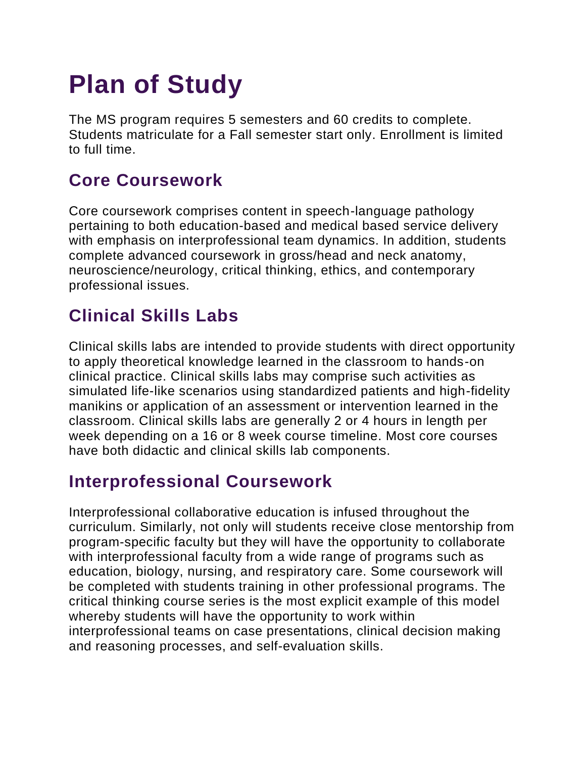# **Plan of Study**

The MS program requires 5 semesters and 60 credits to complete. Students matriculate for a Fall semester start only. Enrollment is limited to full time.

# **Core Coursework**

Core coursework comprises content in speech-language pathology pertaining to both education-based and medical based service delivery with emphasis on interprofessional team dynamics. In addition, students complete advanced coursework in gross/head and neck anatomy, neuroscience/neurology, critical thinking, ethics, and contemporary professional issues.

# **Clinical Skills Labs**

Clinical skills labs are intended to provide students with direct opportunity to apply theoretical knowledge learned in the classroom to hands-on clinical practice. Clinical skills labs may comprise such activities as simulated life-like scenarios using standardized patients and high-fidelity manikins or application of an assessment or intervention learned in the classroom. Clinical skills labs are generally 2 or 4 hours in length per week depending on a 16 or 8 week course timeline. Most core courses have both didactic and clinical skills lab components.

### **Interprofessional Coursework**

Interprofessional collaborative education is infused throughout the curriculum. Similarly, not only will students receive close mentorship from program-specific faculty but they will have the opportunity to collaborate with interprofessional faculty from a wide range of programs such as education, biology, nursing, and respiratory care. Some coursework will be completed with students training in other professional programs. The critical thinking course series is the most explicit example of this model whereby students will have the opportunity to work within interprofessional teams on case presentations, clinical decision making and reasoning processes, and self-evaluation skills.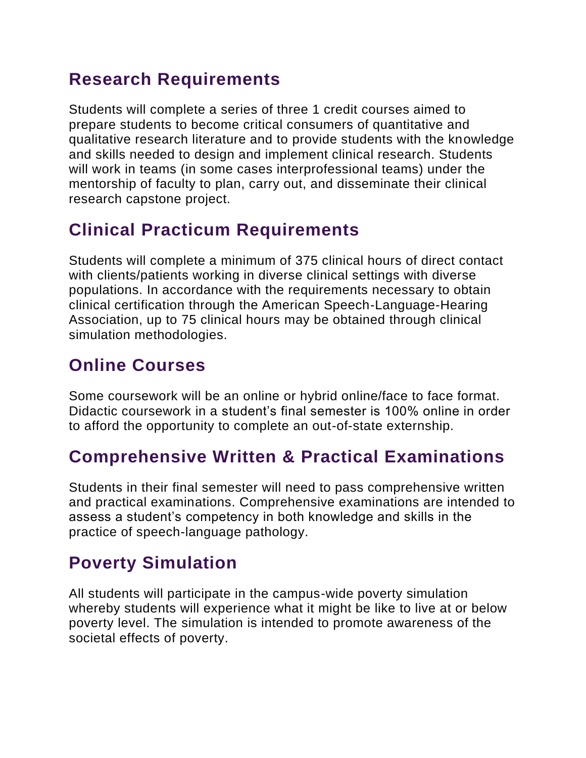## **Research Requirements**

Students will complete a series of three 1 credit courses aimed to prepare students to become critical consumers of quantitative and qualitative research literature and to provide students with the knowledge and skills needed to design and implement clinical research. Students will work in teams (in some cases interprofessional teams) under the mentorship of faculty to plan, carry out, and disseminate their clinical research capstone project.

# **Clinical Practicum Requirements**

Students will complete a minimum of 375 clinical hours of direct contact with clients/patients working in diverse clinical settings with diverse populations. In accordance with the requirements necessary to obtain clinical certification through the American Speech-Language-Hearing Association, up to 75 clinical hours may be obtained through clinical simulation methodologies.

# **Online Courses**

Some coursework will be an online or hybrid online/face to face format. Didactic coursework in a student's final semester is 100% online in order to afford the opportunity to complete an out-of-state externship.

# **Comprehensive Written & Practical Examinations**

Students in their final semester will need to pass comprehensive written and practical examinations. Comprehensive examinations are intended to assess a student's competency in both knowledge and skills in the practice of speech-language pathology.

# **Poverty Simulation**

All students will participate in the campus-wide poverty simulation whereby students will experience what it might be like to live at or below poverty level. The simulation is intended to promote awareness of the societal effects of poverty.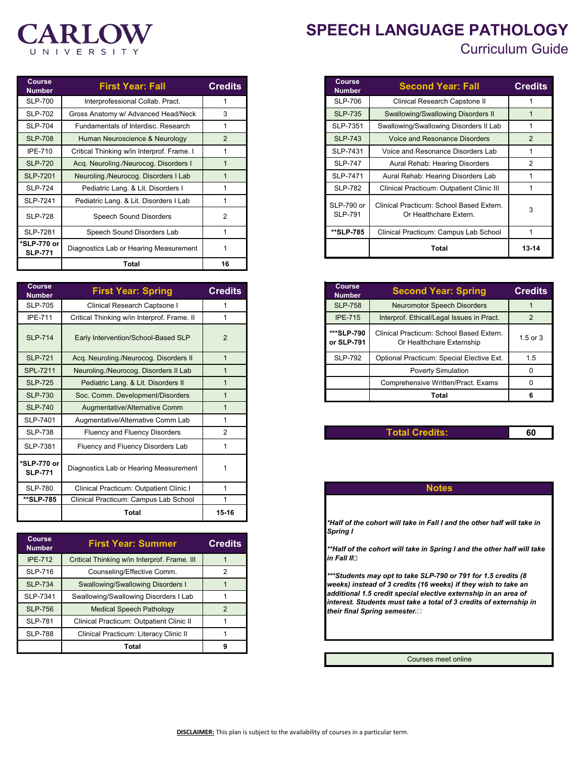### CARLOW NIVERSITY

| <b>Course</b><br><b>Number</b> | <b>First Year: Fall</b>                                          | <b>Credits</b> |
|--------------------------------|------------------------------------------------------------------|----------------|
| <b>SLP-700</b>                 | Interprofessional Collab. Pract.                                 |                |
| <b>SLP-702</b>                 | Gross Anatomy w/ Advanced Head/Neck                              | 3              |
| <b>SLP-704</b>                 | Fundamentals of Interdisc. Research                              |                |
| <b>SLP-708</b>                 | Human Neuroscience & Neurology                                   | $\overline{2}$ |
| <b>IPE-710</b>                 | Critical Thinking w/in Interprof. Frame. I                       |                |
| <b>SLP-720</b>                 | Acq. Neuroling./Neurocog. Disorders I                            |                |
| <b>SLP-7201</b>                | Neuroling./Neurocog. Disorders I Lab                             |                |
| <b>SLP-724</b>                 | Pediatric Lang. & Lit. Disorders I                               |                |
| SLP-7241<br><b>SLP-728</b>     | Pediatric Lang. & Lit. Disorders I Lab<br>Speech Sound Disorders | $\overline{2}$ |
| SLP-7281                       | Speech Sound Disorders Lab                                       |                |
| *SLP-770 or<br><b>SLP-771</b>  | Diagnostics Lab or Hearing Measurement                           |                |
|                                | Total                                                            | 16             |

| <b>Course</b><br><b>Number</b> | <b>First Year: Spring</b>                   | <b>Credits</b> |
|--------------------------------|---------------------------------------------|----------------|
| <b>SLP-705</b>                 | Clinical Research Captsone I                |                |
| <b>IPE-711</b>                 | Critical Thinking w/in Interprof. Frame. II |                |
| <b>SLP-714</b>                 | Early Intervention/School-Based SLP         | $\overline{2}$ |
| <b>SLP-721</b>                 | Acq. Neuroling./Neurocog. Disorders II      |                |
| <b>SPL-7211</b>                | Neuroling./Neurocog. Disorders II Lab       |                |
| <b>SLP-725</b>                 | Pediatric Lang. & Lit. Disorders II         |                |
| <b>SLP-730</b>                 | Soc. Comm. Development/Disorders            |                |
| <b>SLP-740</b>                 | Augmentative/Alternative Comm               |                |
| SLP-7401                       | Augmentative/Alternative Comm Lab           |                |
| <b>SLP-738</b>                 | Fluency and Fluency Disorders               | $\overline{2}$ |
| SLP-7381                       | Fluency and Fluency Disorders Lab           |                |
| 'SLP-770 or<br><b>SLP-771</b>  | Diagnostics Lab or Hearing Measurement      |                |
| <b>SLP-780</b>                 | Clinical Practicum: Outpatient Clinic I     | 1              |
| **SLP-785                      | Clinical Practicum: Campus Lab School       | 1              |
|                                | <b>Total</b>                                | $15 - 16$      |

| <b>Course</b><br><b>Number</b>                      | <b>First Year: Summer</b>                    | <b>Credits</b> |
|-----------------------------------------------------|----------------------------------------------|----------------|
| <b>IPF-712</b>                                      | Critical Thinking w/in Interprof. Frame. III |                |
| <b>SLP-716</b>                                      | Counseling/Effective Comm.                   | 2              |
| Swallowing/Swallowing Disorders I<br><b>SLP-734</b> |                                              |                |
| SLP-7341                                            | Swallowing/Swallowing Disorders I Lab        |                |
| <b>SLP-756</b>                                      | <b>Medical Speech Pathology</b>              | 2              |
| <b>SLP-781</b>                                      | Clinical Practicum: Outpatient Clinic II     |                |
| <b>SLP-788</b>                                      | Clinical Practicum: Literacy Clinic II       |                |
|                                                     | Total                                        | 9              |

# **SPEECH LANGUAGE PATHOLOGY**

Curriculum Guide

| Course<br><b>Number</b>                                                                           | <b>Second Year: Fall</b>                  | <b>Credits</b> |  |
|---------------------------------------------------------------------------------------------------|-------------------------------------------|----------------|--|
| <b>SLP-706</b>                                                                                    | Clinical Research Capstone II             |                |  |
| <b>SLP-735</b>                                                                                    | Swallowing/Swallowing Disorders II        |                |  |
| SLP-7351                                                                                          | Swallowing/Swallowing Disorders II Lab    | 1              |  |
| <b>SLP-743</b>                                                                                    | <b>Voice and Resonance Disorders</b>      | 2              |  |
| SLP-7431                                                                                          | Voice and Resonance Disorders Lab         |                |  |
| <b>SLP-747</b>                                                                                    | Aural Rehab: Hearing Disorders            | $\overline{2}$ |  |
| SLP-7471                                                                                          | Aural Rehab: Hearing Disorders Lab        | 1              |  |
| <b>SLP-782</b>                                                                                    | Clinical Practicum: Outpatient Clinic III |                |  |
| SLP-790 or<br>Clinical Practicum: School Based Extern.<br><b>SLP-791</b><br>Or Healthchare Extern |                                           | 3              |  |
| **SLP-785                                                                                         | Clinical Practicum: Campus Lab School     | 1              |  |
|                                                                                                   | Total                                     | 13-14          |  |

| <b>Course</b><br><b>Number</b>     | <b>Second Year: Spring</b>                                            | <b>Credits</b> |
|------------------------------------|-----------------------------------------------------------------------|----------------|
| <b>SLP-758</b>                     | <b>Neuromotor Speech Disorders</b>                                    |                |
| <b>IPE-715</b>                     | Interprof. Ethical/Legal Issues in Pract.                             | $\mathcal{P}$  |
| ***SLP-790<br>or SLP-791           | Clinical Practicum: School Based Extern.<br>Or Healthchare Externship | $1.5$ or $3$   |
| <b>SLP-792</b>                     | Optional Practicum: Special Elective Ext.                             | 1.5            |
|                                    | <b>Poverty Simulation</b>                                             |                |
| Comprehensive Written/Pract. Exams |                                                                       |                |
|                                    | Total                                                                 |                |

#### **Notes**

*\*Half of the cohort will take in Fall I and the other half will take in Spring I*

*\*\*Half of the cohort will take in Spring I and the other half will take in Fall II*<sup> $\Box$ </sup>

*\*\*\*Students may opt to take SLP-790 or 791 for 1.5 credits (8 weeks) instead of 3 credits (16 weeks) if they wish to take an additional 1.5 credit special elective externship in an area of interest. Students must take a total of 3 credits of externship in their final Spring semester.* 

Courses meet online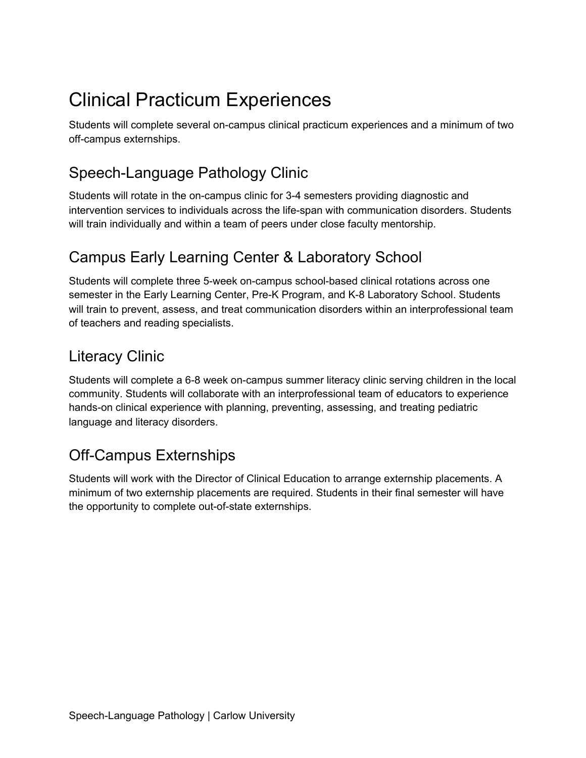# Clinical Practicum Experiences

Students will complete several on-campus clinical practicum experiences and a minimum of two off-campus externships.

### Speech-Language Pathology Clinic

Students will rotate in the on-campus clinic for 3-4 semesters providing diagnostic and intervention services to individuals across the life-span with communication disorders. Students will train individually and within a team of peers under close faculty mentorship.

### Campus Early Learning Center & Laboratory School

Students will complete three 5-week on-campus school-based clinical rotations across one semester in the Early Learning Center, Pre-K Program, and K-8 Laboratory School. Students will train to prevent, assess, and treat communication disorders within an interprofessional team of teachers and reading specialists.

### Literacy Clinic

Students will complete a 6-8 week on-campus summer literacy clinic serving children in the local community. Students will collaborate with an interprofessional team of educators to experience hands-on clinical experience with planning, preventing, assessing, and treating pediatric language and literacy disorders.

### Off-Campus Externships

Students will work with the Director of Clinical Education to arrange externship placements. A minimum of two externship placements are required. Students in their final semester will have the opportunity to complete out-of-state externships.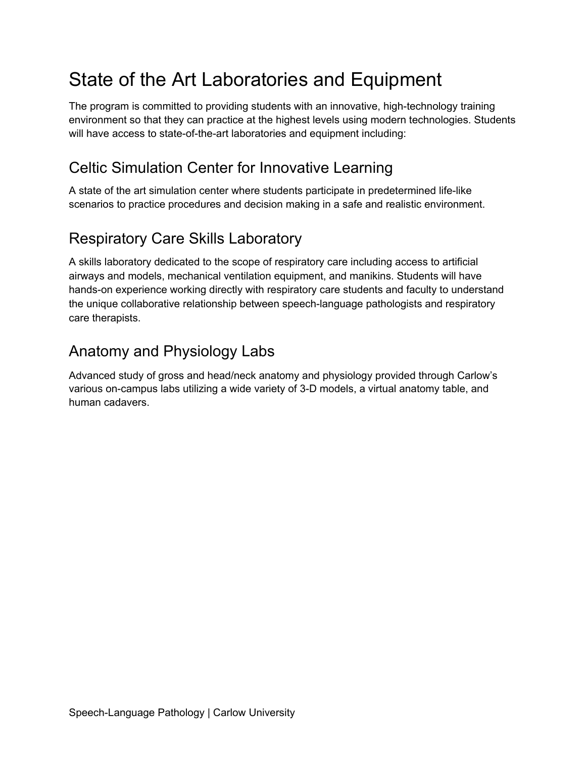# State of the Art Laboratories and Equipment

The program is committed to providing students with an innovative, high-technology training environment so that they can practice at the highest levels using modern technologies. Students will have access to state-of-the-art laboratories and equipment including:

### Celtic Simulation Center for Innovative Learning

A state of the art simulation center where students participate in predetermined life-like scenarios to practice procedures and decision making in a safe and realistic environment.

### Respiratory Care Skills Laboratory

A skills laboratory dedicated to the scope of respiratory care including access to artificial airways and models, mechanical ventilation equipment, and manikins. Students will have hands-on experience working directly with respiratory care students and faculty to understand the unique collaborative relationship between speech-language pathologists and respiratory care therapists.

### Anatomy and Physiology Labs

Advanced study of gross and head/neck anatomy and physiology provided through Carlow's various on-campus labs utilizing a wide variety of 3-D models, a virtual anatomy table, and human cadavers.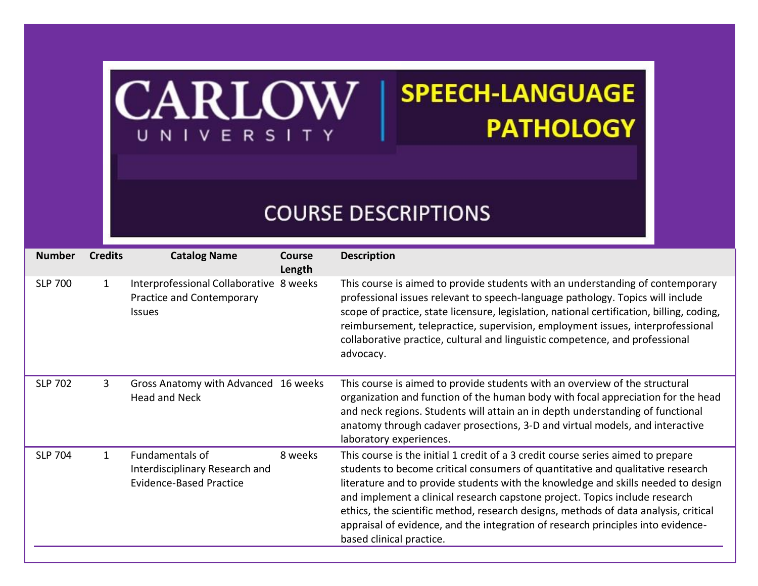### **CARLOW SPEECH-LANGUAGE PATHOLOGY** UNIVERSITY

# **COURSE DESCRIPTIONS**

| <b>Number</b>  | <b>Credits</b> | <b>Catalog Name</b>                                                                   | Course<br>Length | <b>Description</b>                                                                                                                                                                                                                                                                                                                                                                                                                                                                                                                            |
|----------------|----------------|---------------------------------------------------------------------------------------|------------------|-----------------------------------------------------------------------------------------------------------------------------------------------------------------------------------------------------------------------------------------------------------------------------------------------------------------------------------------------------------------------------------------------------------------------------------------------------------------------------------------------------------------------------------------------|
| <b>SLP 700</b> | 1              | Interprofessional Collaborative 8 weeks<br>Practice and Contemporary<br><b>Issues</b> |                  | This course is aimed to provide students with an understanding of contemporary<br>professional issues relevant to speech-language pathology. Topics will include<br>scope of practice, state licensure, legislation, national certification, billing, coding,<br>reimbursement, telepractice, supervision, employment issues, interprofessional<br>collaborative practice, cultural and linguistic competence, and professional<br>advocacy.                                                                                                  |
| <b>SLP 702</b> | 3              | Gross Anatomy with Advanced 16 weeks<br><b>Head and Neck</b>                          |                  | This course is aimed to provide students with an overview of the structural<br>organization and function of the human body with focal appreciation for the head<br>and neck regions. Students will attain an in depth understanding of functional<br>anatomy through cadaver prosections, 3-D and virtual models, and interactive<br>laboratory experiences.                                                                                                                                                                                  |
| <b>SLP 704</b> | $\mathbf{1}$   | Fundamentals of<br>Interdisciplinary Research and<br><b>Evidence-Based Practice</b>   | 8 weeks          | This course is the initial 1 credit of a 3 credit course series aimed to prepare<br>students to become critical consumers of quantitative and qualitative research<br>literature and to provide students with the knowledge and skills needed to design<br>and implement a clinical research capstone project. Topics include research<br>ethics, the scientific method, research designs, methods of data analysis, critical<br>appraisal of evidence, and the integration of research principles into evidence-<br>based clinical practice. |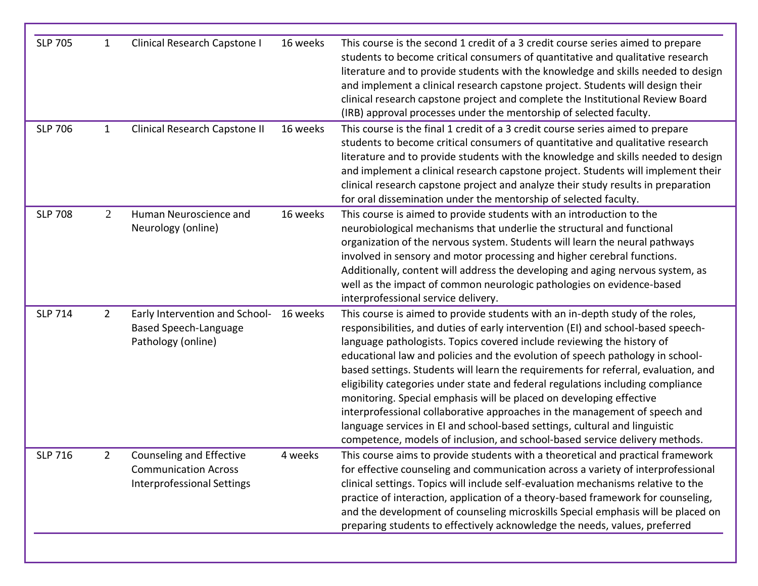| <b>SLP 705</b> | $\mathbf{1}$   | Clinical Research Capstone I                                                                 | 16 weeks | This course is the second 1 credit of a 3 credit course series aimed to prepare<br>students to become critical consumers of quantitative and qualitative research<br>literature and to provide students with the knowledge and skills needed to design<br>and implement a clinical research capstone project. Students will design their<br>clinical research capstone project and complete the Institutional Review Board<br>(IRB) approval processes under the mentorship of selected faculty.                                                                                                                                                                                                                                                                                                                        |
|----------------|----------------|----------------------------------------------------------------------------------------------|----------|-------------------------------------------------------------------------------------------------------------------------------------------------------------------------------------------------------------------------------------------------------------------------------------------------------------------------------------------------------------------------------------------------------------------------------------------------------------------------------------------------------------------------------------------------------------------------------------------------------------------------------------------------------------------------------------------------------------------------------------------------------------------------------------------------------------------------|
| <b>SLP 706</b> | $\mathbf{1}$   | Clinical Research Capstone II                                                                | 16 weeks | This course is the final 1 credit of a 3 credit course series aimed to prepare<br>students to become critical consumers of quantitative and qualitative research<br>literature and to provide students with the knowledge and skills needed to design<br>and implement a clinical research capstone project. Students will implement their<br>clinical research capstone project and analyze their study results in preparation<br>for oral dissemination under the mentorship of selected faculty.                                                                                                                                                                                                                                                                                                                     |
| <b>SLP 708</b> | $\overline{2}$ | Human Neuroscience and<br>Neurology (online)                                                 | 16 weeks | This course is aimed to provide students with an introduction to the<br>neurobiological mechanisms that underlie the structural and functional<br>organization of the nervous system. Students will learn the neural pathways<br>involved in sensory and motor processing and higher cerebral functions.<br>Additionally, content will address the developing and aging nervous system, as<br>well as the impact of common neurologic pathologies on evidence-based<br>interprofessional service delivery.                                                                                                                                                                                                                                                                                                              |
| <b>SLP 714</b> | $2^{\circ}$    | Early Intervention and School-<br><b>Based Speech-Language</b><br>Pathology (online)         | 16 weeks | This course is aimed to provide students with an in-depth study of the roles,<br>responsibilities, and duties of early intervention (EI) and school-based speech-<br>language pathologists. Topics covered include reviewing the history of<br>educational law and policies and the evolution of speech pathology in school-<br>based settings. Students will learn the requirements for referral, evaluation, and<br>eligibility categories under state and federal regulations including compliance<br>monitoring. Special emphasis will be placed on developing effective<br>interprofessional collaborative approaches in the management of speech and<br>language services in EI and school-based settings, cultural and linguistic<br>competence, models of inclusion, and school-based service delivery methods. |
| <b>SLP 716</b> | $\overline{2}$ | Counseling and Effective<br><b>Communication Across</b><br><b>Interprofessional Settings</b> | 4 weeks  | This course aims to provide students with a theoretical and practical framework<br>for effective counseling and communication across a variety of interprofessional<br>clinical settings. Topics will include self-evaluation mechanisms relative to the<br>practice of interaction, application of a theory-based framework for counseling,<br>and the development of counseling microskills Special emphasis will be placed on<br>preparing students to effectively acknowledge the needs, values, preferred                                                                                                                                                                                                                                                                                                          |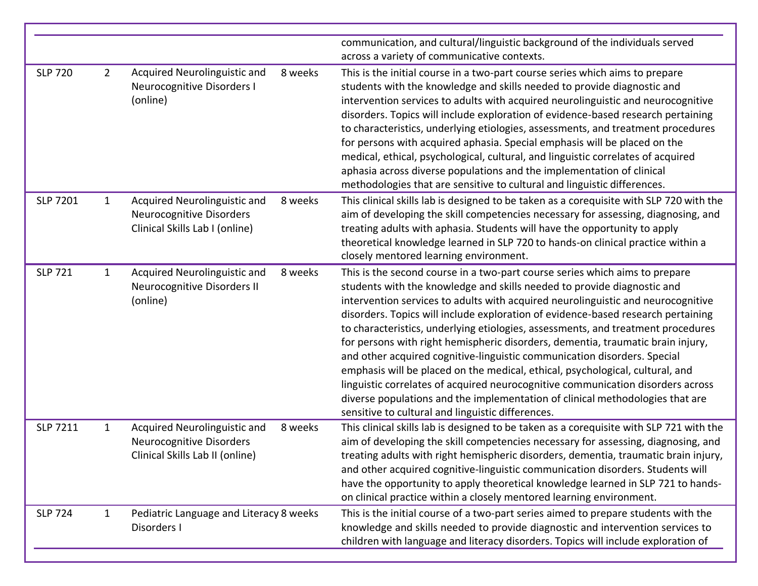|                |                                                                                                    |         | communication, and cultural/linguistic background of the individuals served<br>across a variety of communicative contexts.                                                                                                                                                                                                                                                                                                                                                                                                                                                                                                                                                                                                                                                                                                                                                                  |
|----------------|----------------------------------------------------------------------------------------------------|---------|---------------------------------------------------------------------------------------------------------------------------------------------------------------------------------------------------------------------------------------------------------------------------------------------------------------------------------------------------------------------------------------------------------------------------------------------------------------------------------------------------------------------------------------------------------------------------------------------------------------------------------------------------------------------------------------------------------------------------------------------------------------------------------------------------------------------------------------------------------------------------------------------|
| $\overline{2}$ | Acquired Neurolinguistic and<br>Neurocognitive Disorders I<br>(online)                             | 8 weeks | This is the initial course in a two-part course series which aims to prepare<br>students with the knowledge and skills needed to provide diagnostic and<br>intervention services to adults with acquired neurolinguistic and neurocognitive<br>disorders. Topics will include exploration of evidence-based research pertaining<br>to characteristics, underlying etiologies, assessments, and treatment procedures<br>for persons with acquired aphasia. Special emphasis will be placed on the<br>medical, ethical, psychological, cultural, and linguistic correlates of acquired<br>aphasia across diverse populations and the implementation of clinical<br>methodologies that are sensitive to cultural and linguistic differences.                                                                                                                                                   |
| $\mathbf{1}$   | Acquired Neurolinguistic and<br><b>Neurocognitive Disorders</b><br>Clinical Skills Lab I (online)  | 8 weeks | This clinical skills lab is designed to be taken as a corequisite with SLP 720 with the<br>aim of developing the skill competencies necessary for assessing, diagnosing, and<br>treating adults with aphasia. Students will have the opportunity to apply<br>theoretical knowledge learned in SLP 720 to hands-on clinical practice within a<br>closely mentored learning environment.                                                                                                                                                                                                                                                                                                                                                                                                                                                                                                      |
| $\mathbf{1}$   | Acquired Neurolinguistic and<br>Neurocognitive Disorders II<br>(online)                            | 8 weeks | This is the second course in a two-part course series which aims to prepare<br>students with the knowledge and skills needed to provide diagnostic and<br>intervention services to adults with acquired neurolinguistic and neurocognitive<br>disorders. Topics will include exploration of evidence-based research pertaining<br>to characteristics, underlying etiologies, assessments, and treatment procedures<br>for persons with right hemispheric disorders, dementia, traumatic brain injury,<br>and other acquired cognitive-linguistic communication disorders. Special<br>emphasis will be placed on the medical, ethical, psychological, cultural, and<br>linguistic correlates of acquired neurocognitive communication disorders across<br>diverse populations and the implementation of clinical methodologies that are<br>sensitive to cultural and linguistic differences. |
| $\mathbf{1}$   | Acquired Neurolinguistic and<br><b>Neurocognitive Disorders</b><br>Clinical Skills Lab II (online) | 8 weeks | This clinical skills lab is designed to be taken as a corequisite with SLP 721 with the<br>aim of developing the skill competencies necessary for assessing, diagnosing, and<br>treating adults with right hemispheric disorders, dementia, traumatic brain injury,<br>and other acquired cognitive-linguistic communication disorders. Students will<br>have the opportunity to apply theoretical knowledge learned in SLP 721 to hands-<br>on clinical practice within a closely mentored learning environment.                                                                                                                                                                                                                                                                                                                                                                           |
| $\mathbf{1}$   | Disorders I                                                                                        |         | This is the initial course of a two-part series aimed to prepare students with the<br>knowledge and skills needed to provide diagnostic and intervention services to<br>children with language and literacy disorders. Topics will include exploration of                                                                                                                                                                                                                                                                                                                                                                                                                                                                                                                                                                                                                                   |
|                |                                                                                                    |         | Pediatric Language and Literacy 8 weeks                                                                                                                                                                                                                                                                                                                                                                                                                                                                                                                                                                                                                                                                                                                                                                                                                                                     |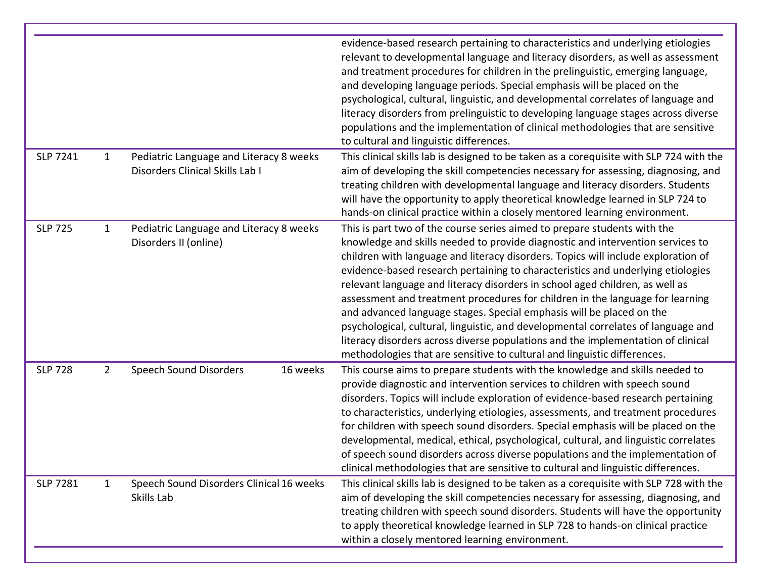|                 |                |                                                                            | evidence-based research pertaining to characteristics and underlying etiologies<br>relevant to developmental language and literacy disorders, as well as assessment<br>and treatment procedures for children in the prelinguistic, emerging language,<br>and developing language periods. Special emphasis will be placed on the<br>psychological, cultural, linguistic, and developmental correlates of language and<br>literacy disorders from prelinguistic to developing language stages across diverse<br>populations and the implementation of clinical methodologies that are sensitive<br>to cultural and linguistic differences.                                                                                                                                                                                        |
|-----------------|----------------|----------------------------------------------------------------------------|----------------------------------------------------------------------------------------------------------------------------------------------------------------------------------------------------------------------------------------------------------------------------------------------------------------------------------------------------------------------------------------------------------------------------------------------------------------------------------------------------------------------------------------------------------------------------------------------------------------------------------------------------------------------------------------------------------------------------------------------------------------------------------------------------------------------------------|
| <b>SLP 7241</b> | $\mathbf{1}$   | Pediatric Language and Literacy 8 weeks<br>Disorders Clinical Skills Lab I | This clinical skills lab is designed to be taken as a corequisite with SLP 724 with the<br>aim of developing the skill competencies necessary for assessing, diagnosing, and<br>treating children with developmental language and literacy disorders. Students<br>will have the opportunity to apply theoretical knowledge learned in SLP 724 to<br>hands-on clinical practice within a closely mentored learning environment.                                                                                                                                                                                                                                                                                                                                                                                                   |
| <b>SLP 725</b>  | $\mathbf{1}$   | Pediatric Language and Literacy 8 weeks<br>Disorders II (online)           | This is part two of the course series aimed to prepare students with the<br>knowledge and skills needed to provide diagnostic and intervention services to<br>children with language and literacy disorders. Topics will include exploration of<br>evidence-based research pertaining to characteristics and underlying etiologies<br>relevant language and literacy disorders in school aged children, as well as<br>assessment and treatment procedures for children in the language for learning<br>and advanced language stages. Special emphasis will be placed on the<br>psychological, cultural, linguistic, and developmental correlates of language and<br>literacy disorders across diverse populations and the implementation of clinical<br>methodologies that are sensitive to cultural and linguistic differences. |
| <b>SLP 728</b>  | $\overline{2}$ | <b>Speech Sound Disorders</b><br>16 weeks                                  | This course aims to prepare students with the knowledge and skills needed to<br>provide diagnostic and intervention services to children with speech sound<br>disorders. Topics will include exploration of evidence-based research pertaining<br>to characteristics, underlying etiologies, assessments, and treatment procedures<br>for children with speech sound disorders. Special emphasis will be placed on the<br>developmental, medical, ethical, psychological, cultural, and linguistic correlates<br>of speech sound disorders across diverse populations and the implementation of<br>clinical methodologies that are sensitive to cultural and linguistic differences.                                                                                                                                             |
| <b>SLP 7281</b> | $\mathbf{1}$   | Speech Sound Disorders Clinical 16 weeks<br>Skills Lab                     | This clinical skills lab is designed to be taken as a corequisite with SLP 728 with the<br>aim of developing the skill competencies necessary for assessing, diagnosing, and<br>treating children with speech sound disorders. Students will have the opportunity<br>to apply theoretical knowledge learned in SLP 728 to hands-on clinical practice<br>within a closely mentored learning environment.                                                                                                                                                                                                                                                                                                                                                                                                                          |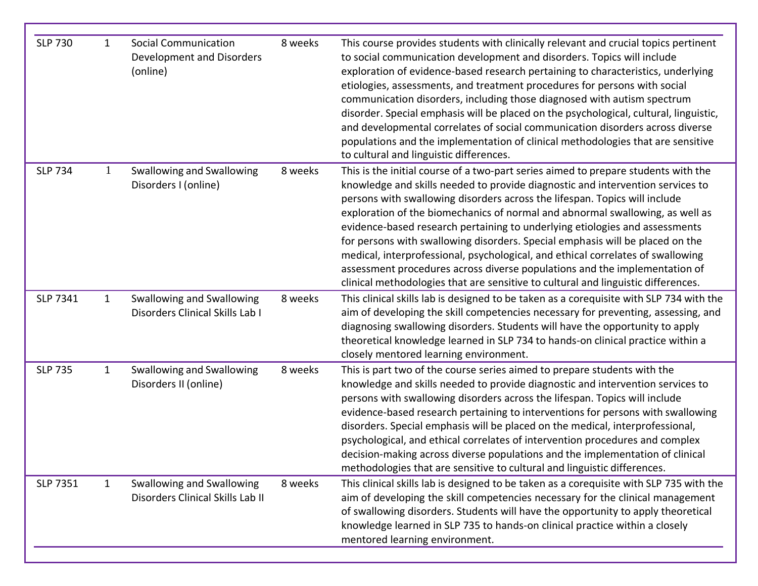| <b>SLP 730</b> | $\mathbf{1}$ | <b>Social Communication</b><br>Development and Disorders<br>(online) | 8 weeks | This course provides students with clinically relevant and crucial topics pertinent<br>to social communication development and disorders. Topics will include<br>exploration of evidence-based research pertaining to characteristics, underlying<br>etiologies, assessments, and treatment procedures for persons with social<br>communication disorders, including those diagnosed with autism spectrum<br>disorder. Special emphasis will be placed on the psychological, cultural, linguistic,<br>and developmental correlates of social communication disorders across diverse<br>populations and the implementation of clinical methodologies that are sensitive<br>to cultural and linguistic differences.                                         |
|----------------|--------------|----------------------------------------------------------------------|---------|-----------------------------------------------------------------------------------------------------------------------------------------------------------------------------------------------------------------------------------------------------------------------------------------------------------------------------------------------------------------------------------------------------------------------------------------------------------------------------------------------------------------------------------------------------------------------------------------------------------------------------------------------------------------------------------------------------------------------------------------------------------|
| <b>SLP 734</b> | $\mathbf{1}$ | Swallowing and Swallowing<br>Disorders I (online)                    | 8 weeks | This is the initial course of a two-part series aimed to prepare students with the<br>knowledge and skills needed to provide diagnostic and intervention services to<br>persons with swallowing disorders across the lifespan. Topics will include<br>exploration of the biomechanics of normal and abnormal swallowing, as well as<br>evidence-based research pertaining to underlying etiologies and assessments<br>for persons with swallowing disorders. Special emphasis will be placed on the<br>medical, interprofessional, psychological, and ethical correlates of swallowing<br>assessment procedures across diverse populations and the implementation of<br>clinical methodologies that are sensitive to cultural and linguistic differences. |
| SLP 7341       | $\mathbf{1}$ | Swallowing and Swallowing<br>Disorders Clinical Skills Lab I         | 8 weeks | This clinical skills lab is designed to be taken as a corequisite with SLP 734 with the<br>aim of developing the skill competencies necessary for preventing, assessing, and<br>diagnosing swallowing disorders. Students will have the opportunity to apply<br>theoretical knowledge learned in SLP 734 to hands-on clinical practice within a<br>closely mentored learning environment.                                                                                                                                                                                                                                                                                                                                                                 |
| <b>SLP 735</b> | $\mathbf{1}$ | Swallowing and Swallowing<br>Disorders II (online)                   | 8 weeks | This is part two of the course series aimed to prepare students with the<br>knowledge and skills needed to provide diagnostic and intervention services to<br>persons with swallowing disorders across the lifespan. Topics will include<br>evidence-based research pertaining to interventions for persons with swallowing<br>disorders. Special emphasis will be placed on the medical, interprofessional,<br>psychological, and ethical correlates of intervention procedures and complex<br>decision-making across diverse populations and the implementation of clinical<br>methodologies that are sensitive to cultural and linguistic differences.                                                                                                 |
| SLP 7351       | $\mathbf{1}$ | Swallowing and Swallowing<br>Disorders Clinical Skills Lab II        | 8 weeks | This clinical skills lab is designed to be taken as a corequisite with SLP 735 with the<br>aim of developing the skill competencies necessary for the clinical management<br>of swallowing disorders. Students will have the opportunity to apply theoretical<br>knowledge learned in SLP 735 to hands-on clinical practice within a closely<br>mentored learning environment.                                                                                                                                                                                                                                                                                                                                                                            |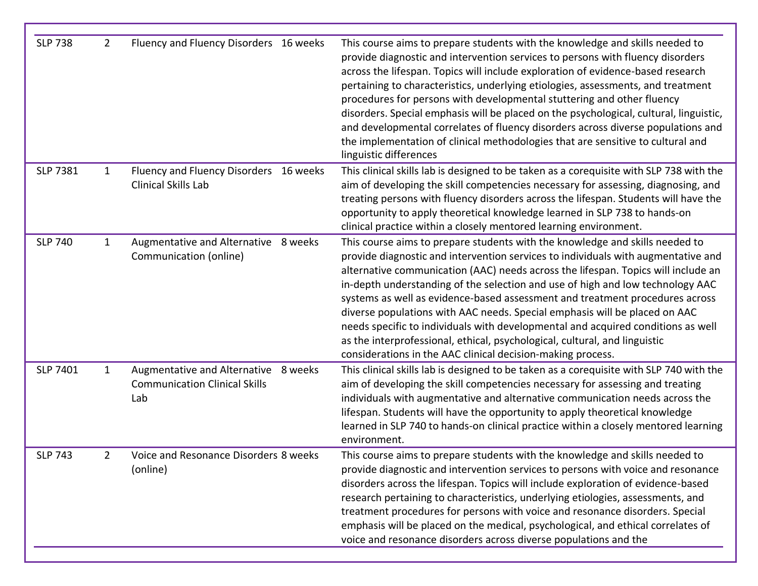| <b>SLP 738</b>  | $\overline{2}$ | Fluency and Fluency Disorders 16 weeks                                              | This course aims to prepare students with the knowledge and skills needed to<br>provide diagnostic and intervention services to persons with fluency disorders<br>across the lifespan. Topics will include exploration of evidence-based research<br>pertaining to characteristics, underlying etiologies, assessments, and treatment<br>procedures for persons with developmental stuttering and other fluency<br>disorders. Special emphasis will be placed on the psychological, cultural, linguistic,<br>and developmental correlates of fluency disorders across diverse populations and<br>the implementation of clinical methodologies that are sensitive to cultural and<br>linguistic differences                              |
|-----------------|----------------|-------------------------------------------------------------------------------------|-----------------------------------------------------------------------------------------------------------------------------------------------------------------------------------------------------------------------------------------------------------------------------------------------------------------------------------------------------------------------------------------------------------------------------------------------------------------------------------------------------------------------------------------------------------------------------------------------------------------------------------------------------------------------------------------------------------------------------------------|
| <b>SLP 7381</b> | $\mathbf{1}$   | Fluency and Fluency Disorders 16 weeks<br><b>Clinical Skills Lab</b>                | This clinical skills lab is designed to be taken as a corequisite with SLP 738 with the<br>aim of developing the skill competencies necessary for assessing, diagnosing, and<br>treating persons with fluency disorders across the lifespan. Students will have the<br>opportunity to apply theoretical knowledge learned in SLP 738 to hands-on<br>clinical practice within a closely mentored learning environment.                                                                                                                                                                                                                                                                                                                   |
| <b>SLP 740</b>  | $\mathbf{1}$   | Augmentative and Alternative 8 weeks<br>Communication (online)                      | This course aims to prepare students with the knowledge and skills needed to<br>provide diagnostic and intervention services to individuals with augmentative and<br>alternative communication (AAC) needs across the lifespan. Topics will include an<br>in-depth understanding of the selection and use of high and low technology AAC<br>systems as well as evidence-based assessment and treatment procedures across<br>diverse populations with AAC needs. Special emphasis will be placed on AAC<br>needs specific to individuals with developmental and acquired conditions as well<br>as the interprofessional, ethical, psychological, cultural, and linguistic<br>considerations in the AAC clinical decision-making process. |
| <b>SLP 7401</b> | $\mathbf{1}$   | Augmentative and Alternative 8 weeks<br><b>Communication Clinical Skills</b><br>Lab | This clinical skills lab is designed to be taken as a corequisite with SLP 740 with the<br>aim of developing the skill competencies necessary for assessing and treating<br>individuals with augmentative and alternative communication needs across the<br>lifespan. Students will have the opportunity to apply theoretical knowledge<br>learned in SLP 740 to hands-on clinical practice within a closely mentored learning<br>environment.                                                                                                                                                                                                                                                                                          |
| <b>SLP 743</b>  | $\overline{2}$ | Voice and Resonance Disorders 8 weeks<br>(online)                                   | This course aims to prepare students with the knowledge and skills needed to<br>provide diagnostic and intervention services to persons with voice and resonance<br>disorders across the lifespan. Topics will include exploration of evidence-based<br>research pertaining to characteristics, underlying etiologies, assessments, and<br>treatment procedures for persons with voice and resonance disorders. Special<br>emphasis will be placed on the medical, psychological, and ethical correlates of<br>voice and resonance disorders across diverse populations and the                                                                                                                                                         |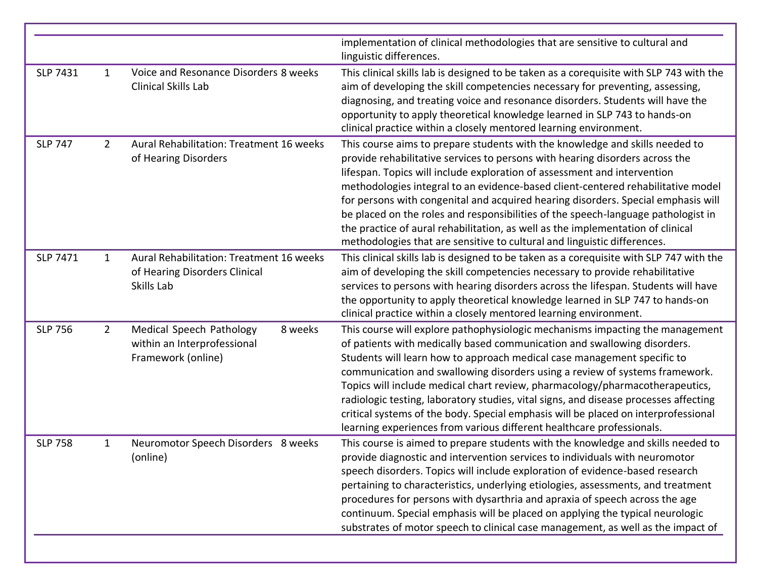|                 |                |                                                                                          | implementation of clinical methodologies that are sensitive to cultural and<br>linguistic differences.                                                                                                                                                                                                                                                                                                                                                                                                                                                                                                                                                                |
|-----------------|----------------|------------------------------------------------------------------------------------------|-----------------------------------------------------------------------------------------------------------------------------------------------------------------------------------------------------------------------------------------------------------------------------------------------------------------------------------------------------------------------------------------------------------------------------------------------------------------------------------------------------------------------------------------------------------------------------------------------------------------------------------------------------------------------|
| <b>SLP 7431</b> | 1              | Voice and Resonance Disorders 8 weeks<br>Clinical Skills Lab                             | This clinical skills lab is designed to be taken as a corequisite with SLP 743 with the<br>aim of developing the skill competencies necessary for preventing, assessing,<br>diagnosing, and treating voice and resonance disorders. Students will have the<br>opportunity to apply theoretical knowledge learned in SLP 743 to hands-on<br>clinical practice within a closely mentored learning environment.                                                                                                                                                                                                                                                          |
| <b>SLP 747</b>  | $2^{\circ}$    | Aural Rehabilitation: Treatment 16 weeks<br>of Hearing Disorders                         | This course aims to prepare students with the knowledge and skills needed to<br>provide rehabilitative services to persons with hearing disorders across the<br>lifespan. Topics will include exploration of assessment and intervention<br>methodologies integral to an evidence-based client-centered rehabilitative model<br>for persons with congenital and acquired hearing disorders. Special emphasis will<br>be placed on the roles and responsibilities of the speech-language pathologist in<br>the practice of aural rehabilitation, as well as the implementation of clinical<br>methodologies that are sensitive to cultural and linguistic differences. |
| SLP 7471        | $\mathbf{1}$   | Aural Rehabilitation: Treatment 16 weeks<br>of Hearing Disorders Clinical<br>Skills Lab  | This clinical skills lab is designed to be taken as a corequisite with SLP 747 with the<br>aim of developing the skill competencies necessary to provide rehabilitative<br>services to persons with hearing disorders across the lifespan. Students will have<br>the opportunity to apply theoretical knowledge learned in SLP 747 to hands-on<br>clinical practice within a closely mentored learning environment.                                                                                                                                                                                                                                                   |
| <b>SLP 756</b>  | $\overline{2}$ | Medical Speech Pathology<br>8 weeks<br>within an Interprofessional<br>Framework (online) | This course will explore pathophysiologic mechanisms impacting the management<br>of patients with medically based communication and swallowing disorders.<br>Students will learn how to approach medical case management specific to<br>communication and swallowing disorders using a review of systems framework.<br>Topics will include medical chart review, pharmacology/pharmacotherapeutics,<br>radiologic testing, laboratory studies, vital signs, and disease processes affecting<br>critical systems of the body. Special emphasis will be placed on interprofessional<br>learning experiences from various different healthcare professionals.            |
| <b>SLP 758</b>  | $\mathbf{1}$   | Neuromotor Speech Disorders 8 weeks<br>(online)                                          | This course is aimed to prepare students with the knowledge and skills needed to<br>provide diagnostic and intervention services to individuals with neuromotor<br>speech disorders. Topics will include exploration of evidence-based research<br>pertaining to characteristics, underlying etiologies, assessments, and treatment<br>procedures for persons with dysarthria and apraxia of speech across the age<br>continuum. Special emphasis will be placed on applying the typical neurologic<br>substrates of motor speech to clinical case management, as well as the impact of                                                                               |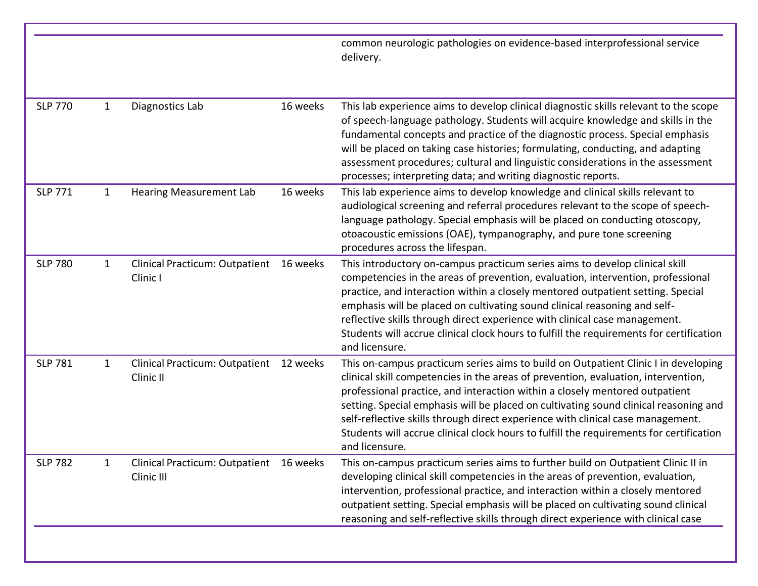|                |              |                                                       |          | common neurologic pathologies on evidence-based interprofessional service<br>delivery.                                                                                                                                                                                                                                                                                                                                                                                                                                                         |
|----------------|--------------|-------------------------------------------------------|----------|------------------------------------------------------------------------------------------------------------------------------------------------------------------------------------------------------------------------------------------------------------------------------------------------------------------------------------------------------------------------------------------------------------------------------------------------------------------------------------------------------------------------------------------------|
| <b>SLP 770</b> | $\mathbf{1}$ | Diagnostics Lab                                       | 16 weeks | This lab experience aims to develop clinical diagnostic skills relevant to the scope<br>of speech-language pathology. Students will acquire knowledge and skills in the<br>fundamental concepts and practice of the diagnostic process. Special emphasis<br>will be placed on taking case histories; formulating, conducting, and adapting<br>assessment procedures; cultural and linguistic considerations in the assessment<br>processes; interpreting data; and writing diagnostic reports.                                                 |
| <b>SLP 771</b> | $\mathbf{1}$ | <b>Hearing Measurement Lab</b>                        | 16 weeks | This lab experience aims to develop knowledge and clinical skills relevant to<br>audiological screening and referral procedures relevant to the scope of speech-<br>language pathology. Special emphasis will be placed on conducting otoscopy,<br>otoacoustic emissions (OAE), tympanography, and pure tone screening<br>procedures across the lifespan.                                                                                                                                                                                      |
| <b>SLP 780</b> | $\mathbf{1}$ | <b>Clinical Practicum: Outpatient</b><br>Clinic I     | 16 weeks | This introductory on-campus practicum series aims to develop clinical skill<br>competencies in the areas of prevention, evaluation, intervention, professional<br>practice, and interaction within a closely mentored outpatient setting. Special<br>emphasis will be placed on cultivating sound clinical reasoning and self-<br>reflective skills through direct experience with clinical case management.<br>Students will accrue clinical clock hours to fulfill the requirements for certification<br>and licensure.                      |
| <b>SLP 781</b> | $\mathbf{1}$ | <b>Clinical Practicum: Outpatient</b><br>Clinic II    | 12 weeks | This on-campus practicum series aims to build on Outpatient Clinic I in developing<br>clinical skill competencies in the areas of prevention, evaluation, intervention,<br>professional practice, and interaction within a closely mentored outpatient<br>setting. Special emphasis will be placed on cultivating sound clinical reasoning and<br>self-reflective skills through direct experience with clinical case management.<br>Students will accrue clinical clock hours to fulfill the requirements for certification<br>and licensure. |
| <b>SLP 782</b> | 1            | Clinical Practicum: Outpatient 16 weeks<br>Clinic III |          | This on-campus practicum series aims to further build on Outpatient Clinic II in<br>developing clinical skill competencies in the areas of prevention, evaluation,<br>intervention, professional practice, and interaction within a closely mentored<br>outpatient setting. Special emphasis will be placed on cultivating sound clinical<br>reasoning and self-reflective skills through direct experience with clinical case                                                                                                                 |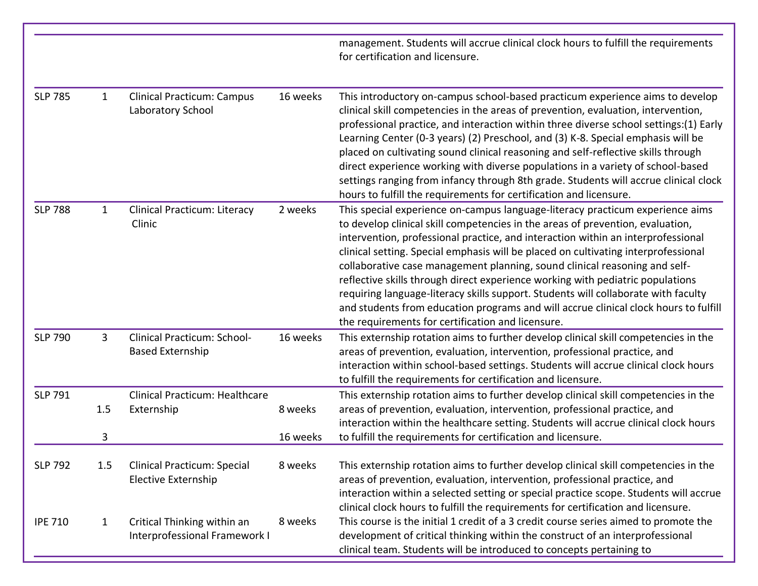|                |                |                                                               |          | management. Students will accrue clinical clock hours to fulfill the requirements<br>for certification and licensure.                                                                                                                                                                                                                                                                                                                                                                                                                                                                                                                                                                                                                        |
|----------------|----------------|---------------------------------------------------------------|----------|----------------------------------------------------------------------------------------------------------------------------------------------------------------------------------------------------------------------------------------------------------------------------------------------------------------------------------------------------------------------------------------------------------------------------------------------------------------------------------------------------------------------------------------------------------------------------------------------------------------------------------------------------------------------------------------------------------------------------------------------|
| <b>SLP 785</b> | 1              | <b>Clinical Practicum: Campus</b><br>Laboratory School        | 16 weeks | This introductory on-campus school-based practicum experience aims to develop<br>clinical skill competencies in the areas of prevention, evaluation, intervention,<br>professional practice, and interaction within three diverse school settings:(1) Early<br>Learning Center (0-3 years) (2) Preschool, and (3) K-8. Special emphasis will be<br>placed on cultivating sound clinical reasoning and self-reflective skills through<br>direct experience working with diverse populations in a variety of school-based<br>settings ranging from infancy through 8th grade. Students will accrue clinical clock<br>hours to fulfill the requirements for certification and licensure.                                                        |
| <b>SLP 788</b> | $\mathbf{1}$   | <b>Clinical Practicum: Literacy</b><br>Clinic                 | 2 weeks  | This special experience on-campus language-literacy practicum experience aims<br>to develop clinical skill competencies in the areas of prevention, evaluation,<br>intervention, professional practice, and interaction within an interprofessional<br>clinical setting. Special emphasis will be placed on cultivating interprofessional<br>collaborative case management planning, sound clinical reasoning and self-<br>reflective skills through direct experience working with pediatric populations<br>requiring language-literacy skills support. Students will collaborate with faculty<br>and students from education programs and will accrue clinical clock hours to fulfill<br>the requirements for certification and licensure. |
| <b>SLP 790</b> | $\overline{3}$ | <b>Clinical Practicum: School-</b><br><b>Based Externship</b> | 16 weeks | This externship rotation aims to further develop clinical skill competencies in the<br>areas of prevention, evaluation, intervention, professional practice, and<br>interaction within school-based settings. Students will accrue clinical clock hours<br>to fulfill the requirements for certification and licensure.                                                                                                                                                                                                                                                                                                                                                                                                                      |
| <b>SLP 791</b> | 1.5            | <b>Clinical Practicum: Healthcare</b><br>Externship           | 8 weeks  | This externship rotation aims to further develop clinical skill competencies in the<br>areas of prevention, evaluation, intervention, professional practice, and<br>interaction within the healthcare setting. Students will accrue clinical clock hours                                                                                                                                                                                                                                                                                                                                                                                                                                                                                     |
|                | 3              |                                                               | 16 weeks | to fulfill the requirements for certification and licensure.                                                                                                                                                                                                                                                                                                                                                                                                                                                                                                                                                                                                                                                                                 |
| <b>SLP 792</b> | 1.5            | Clinical Practicum: Special<br>Elective Externship            | 8 weeks  | This externship rotation aims to further develop clinical skill competencies in the<br>areas of prevention, evaluation, intervention, professional practice, and<br>interaction within a selected setting or special practice scope. Students will accrue<br>clinical clock hours to fulfill the requirements for certification and licensure.                                                                                                                                                                                                                                                                                                                                                                                               |
| <b>IPE 710</b> | $\mathbf{1}$   | Critical Thinking within an<br>Interprofessional Framework I  | 8 weeks  | This course is the initial 1 credit of a 3 credit course series aimed to promote the<br>development of critical thinking within the construct of an interprofessional<br>clinical team. Students will be introduced to concepts pertaining to                                                                                                                                                                                                                                                                                                                                                                                                                                                                                                |